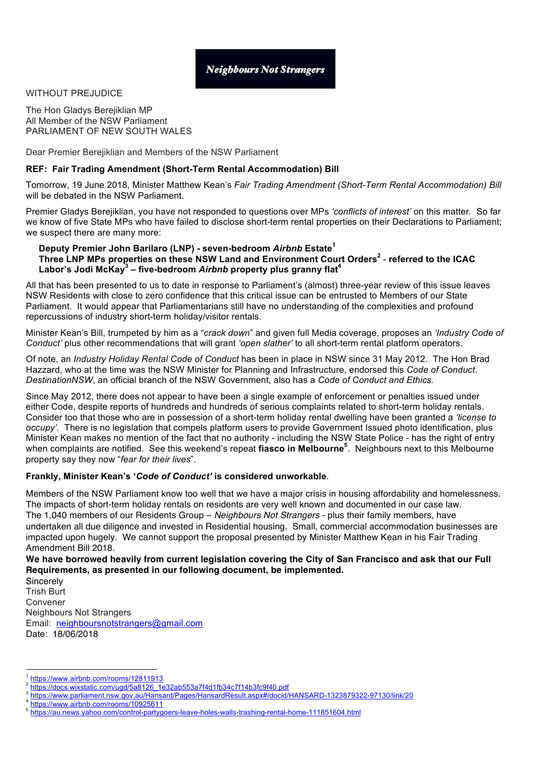### WITHOUT PREJUDICE

The Hon Gladys Berejiklian MP All Member of the NSW Parliament PARLIAMENT OF NEW SOUTH WALES

Dear Premier Berejiklian and Members of the NSW Parliament

## **REF: Fair Trading Amendment (Short-Term Rental Accommodation) Bill**

Tomorrow, 19 June 2018, Minister Matthew Kean's *Fair Trading Amendment (Short-Term Rental Accommodation) Bill* will be debated in the NSW Parliament.

Premier Gladys Berejiklian, you have not responded to questions over MPs *'conflicts of interest'* on this matter*.* So far we know of five State MPs who have failed to disclose short-term rental properties on their Declarations to Parliament; we suspect there are many more:

#### **Deputy Premier John Barilaro (LNP) - seven-bedroom** *Airbnb* **Estate<sup>1</sup> Three LNP MPs properties on these NSW Land and Environment Court Orders<sup>2</sup>** - **referred to the ICAC Labor's Jodi McKay<sup>3</sup> – five-bedroom** *Airbnb* **property plus granny flat4**

All that has been presented to us to date in response to Parliament's (almost) three-year review of this issue leaves NSW Residents with close to zero confidence that this critical issue can be entrusted to Members of our State Parliament. It would appear that Parliamentarians still have no understanding of the complexities and profound repercussions of industry short-term holiday/visitor rentals.

Minister Kean's Bill, trumpeted by him as a "*crack down*" and given full Media coverage, proposes an *'Industry Code of Conduct'* plus other recommendations that will grant *'open slather'* to all short-term rental platform operators.

Of note, an *Industry Holiday Rental Code of Conduct* has been in place in NSW since 31 May 2012. The Hon Brad Hazzard, who at the time was the NSW Minister for Planning and Infrastructure, endorsed this *Code of Conduct*. *DestinationNSW*, an official branch of the NSW Government, also has a *Code of Conduct and Ethics*.

Since May 2012, there does not appear to have been a single example of enforcement or penalties issued under either Code, despite reports of hundreds and hundreds of serious complaints related to short-term holiday rentals. Consider too that those who are in possession of a short-term holiday rental dwelling have been granted a *'license to occupy'.* There is no legislation that compels platform users to provide Government Issued photo identification, plus Minister Kean makes no mention of the fact that no authority - including the NSW State Police - has the right of entry when complaints are notified. See this weekend's repeat **fiasco in Melbourne<sup>5</sup>** . Neighbours next to this Melbourne property say they now "*fear for their lives*".

## **Frankly, Minister Kean's '***Code of Conduct'* **is considered unworkable**.

Members of the NSW Parliament know too well that we have a major crisis in housing affordability and homelessness. The impacts of short-term holiday rentals on residents are very well known and documented in our case law. The 1,040 members of our Residents Group – *Neighbours Not Strangers* - plus their family members, have undertaken all due diligence and invested in Residential housing. Small, commercial accommodation businesses are impacted upon hugely. We cannot support the proposal presented by Minister Matthew Kean in his Fair Trading Amendment Bill 2018.

## **We have borrowed heavily from current legislation covering the City of San Francisco and ask that our Full Requirements, as presented in our following document, be implemented.**

**Sincerely** Trish Burt Convener Neighbours Not Strangers Email: neighboursnotstrangers@gmail.com Date: 18/06/2018

 <sup>1</sup> https://www.airbnb.com/rooms/12811913

<sup>&</sup>lt;sup>2</sup> https://docs.wixstatic.com/ugd/5a8126\_1e32ab553a7f4d1fb34c7f14b3fc9f40.pdf

https://www.parliament.nsw.gov.au/Hansard/Pages/HansardResult.aspx#/docid/HANSARD-1323879322-97130/link/20<br>https://www.airbnb.com/rooms/10925611

<sup>5</sup> https://au.news.yahoo.com/control-partygoers-leave-holes-walls-trashing-rental-home-111851604.html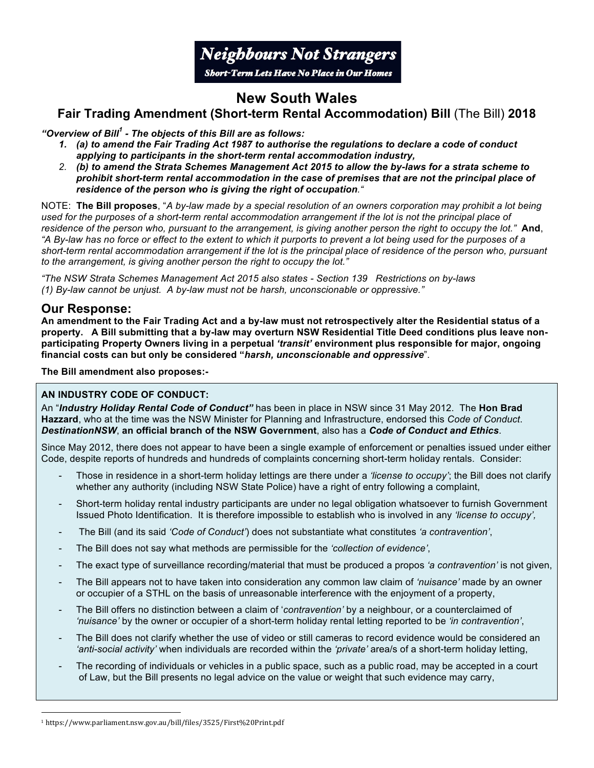

# **New South Wales**

## **Fair Trading Amendment (Short-term Rental Accommodation) Bill** (The Bill) **2018**

*"Overview of Bill1 - The objects of this Bill are as follows:* 

- *1. (a) to amend the Fair Trading Act 1987 to authorise the regulations to declare a code of conduct applying to participants in the short-term rental accommodation industry,*
- *2. (b) to amend the Strata Schemes Management Act 2015 to allow the by-laws for a strata scheme to prohibit short-term rental accommodation in the case of premises that are not the principal place of residence of the person who is giving the right of occupation."*

NOTE: **The Bill proposes**, "*A by-law made by a special resolution of an owners corporation may prohibit a lot being used for the purposes of a short-term rental accommodation arrangement if the lot is not the principal place of residence of the person who, pursuant to the arrangement, is giving another person the right to occupy the lot."* **And**, *"A By-law has no force or effect to the extent to which it purports to prevent a lot being used for the purposes of a*  short-term rental accommodation arrangement if the lot is the principal place of residence of the person who, pursuant *to the arrangement, is giving another person the right to occupy the lot."*

*"The NSW Strata Schemes Management Act 2015 also states - Section 139 Restrictions on by-laws (1) By-law cannot be unjust. A by-law must not be harsh, unconscionable or oppressive."*

## **Our Response:**

**An amendment to the Fair Trading Act and a by-law must not retrospectively alter the Residential status of a property. A Bill submitting that a by-law may overturn NSW Residential Title Deed conditions plus leave nonparticipating Property Owners living in a perpetual** *'transit'* **environment plus responsible for major, ongoing financial costs can but only be considered "***harsh, unconscionable and oppressive*".

**The Bill amendment also proposes:-**

## **AN INDUSTRY CODE OF CONDUCT:**

An "*Industry Holiday Rental Code of Conduct"* has been in place in NSW since 31 May 2012. The **Hon Brad Hazzard**, who at the time was the NSW Minister for Planning and Infrastructure, endorsed this *Code of Conduct*. *DestinationNSW*, **an official branch of the NSW Government**, also has a *Code of Conduct and Ethics*.

Since May 2012, there does not appear to have been a single example of enforcement or penalties issued under either Code, despite reports of hundreds and hundreds of complaints concerning short-term holiday rentals. Consider:

- Those in residence in a short-term holiday lettings are there under a *'license to occupy'*; the Bill does not clarify whether any authority (including NSW State Police) have a right of entry following a complaint,
- Short-term holiday rental industry participants are under no legal obligation whatsoever to furnish Government Issued Photo Identification. It is therefore impossible to establish who is involved in any *'license to occupy',*
- The Bill (and its said *'Code of Conduct'*) does not substantiate what constitutes *'a contravention'*,
- The Bill does not say what methods are permissible for the *'collection of evidence'*,
- The exact type of surveillance recording/material that must be produced a propos *'a contravention'* is not given,
- The Bill appears not to have taken into consideration any common law claim of *'nuisance'* made by an owner or occupier of a STHL on the basis of unreasonable interference with the enjoyment of a property,
- The Bill offers no distinction between a claim of '*contravention'* by a neighbour, or a counterclaimed of *'nuisance'* by the owner or occupier of a short-term holiday rental letting reported to be *'in contravention'*,
- The Bill does not clarify whether the use of video or still cameras to record evidence would be considered an *'anti-social activity'* when individuals are recorded within the *'private'* area/s of a short-term holiday letting,
- The recording of individuals or vehicles in a public space, such as a public road, may be accepted in a court of Law, but the Bill presents no legal advice on the value or weight that such evidence may carry,

 

<sup>&</sup>lt;sup>1</sup> https://www.parliament.nsw.gov.au/bill/files/3525/First%20Print.pdf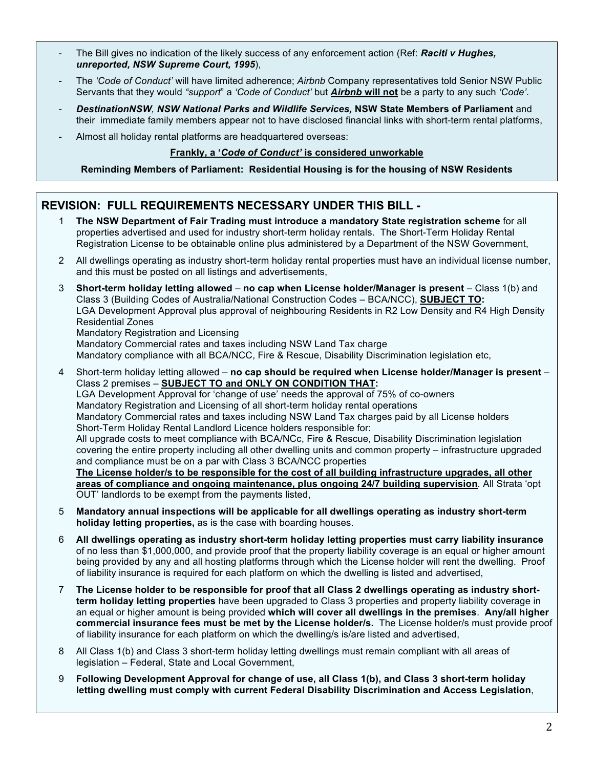- The Bill gives no indication of the likely success of any enforcement action (Ref: **Raciti v Hughes,** *unreported, NSW Supreme Court, 1995*),
- The *'Code of Conduct'* will have limited adherence; *Airbnb* Company representatives told Senior NSW Public Servants that they would *"support*" a *'Code of Conduct'* but *Airbnb* **will not** be a party to any such *'Code'*.
- *DestinationNSW, NSW National Parks and Wildlife Services,* **NSW State Members of Parliament** and their immediate family members appear not to have disclosed financial links with short-term rental platforms,
- Almost all holiday rental platforms are headquartered overseas:

## **Frankly, a '***Code of Conduct'* **is considered unworkable**

#### **Reminding Members of Parliament: Residential Housing is for the housing of NSW Residents**

## **REVISION: FULL REQUIREMENTS NECESSARY UNDER THIS BILL -**

- 1 **The NSW Department of Fair Trading must introduce a mandatory State registration scheme** for all properties advertised and used for industry short-term holiday rentals. The Short-Term Holiday Rental Registration License to be obtainable online plus administered by a Department of the NSW Government,
- 2 All dwellings operating as industry short-term holiday rental properties must have an individual license number, and this must be posted on all listings and advertisements,
- 3 **Short-term holiday letting allowed no cap when License holder/Manager is present** Class 1(b) and Class 3 (Building Codes of Australia/National Construction Codes – BCA/NCC), **SUBJECT TO:** LGA Development Approval plus approval of neighbouring Residents in R2 Low Density and R4 High Density Residential Zones Mandatory Registration and Licensing Mandatory Commercial rates and taxes including NSW Land Tax charge Mandatory compliance with all BCA/NCC, Fire & Rescue, Disability Discrimination legislation etc,
- 4 Short-term holiday letting allowed **no cap should be required when License holder/Manager is present** Class 2 premises – **SUBJECT TO and ONLY ON CONDITION THAT:** LGA Development Approval for 'change of use' needs the approval of 75% of co-owners Mandatory Registration and Licensing of all short-term holiday rental operations Mandatory Commercial rates and taxes including NSW Land Tax charges paid by all License holders Short-Term Holiday Rental Landlord Licence holders responsible for: All upgrade costs to meet compliance with BCA/NCc, Fire & Rescue, Disability Discrimination legislation covering the entire property including all other dwelling units and common property – infrastructure upgraded and compliance must be on a par with Class 3 BCA/NCC properties **The License holder/s to be responsible for the cost of all building infrastructure upgrades, all other areas of compliance and ongoing maintenance, plus ongoing 24/7 building supervision***.* All Strata 'opt OUT' landlords to be exempt from the payments listed,
- 5 **Mandatory annual inspections will be applicable for all dwellings operating as industry short-term holiday letting properties,** as is the case with boarding houses.
- 6 **All dwellings operating as industry short-term holiday letting properties must carry liability insurance** of no less than \$1,000,000, and provide proof that the property liability coverage is an equal or higher amount being provided by any and all hosting platforms through which the License holder will rent the dwelling. Proof of liability insurance is required for each platform on which the dwelling is listed and advertised,
- 7 **The License holder to be responsible for proof that all Class 2 dwellings operating as industry shortterm holiday letting properties** have been upgraded to Class 3 properties and property liability coverage in an equal or higher amount is being provided **which will cover all dwellings in the premises**. **Any/all higher commercial insurance fees must be met by the License holder/s.** The License holder/s must provide proof of liability insurance for each platform on which the dwelling/s is/are listed and advertised,
- 8 All Class 1(b) and Class 3 short-term holiday letting dwellings must remain compliant with all areas of legislation – Federal, State and Local Government,
- 9 **Following Development Approval for change of use, all Class 1(b), and Class 3 short-term holiday letting dwelling must comply with current Federal Disability Discrimination and Access Legislation**,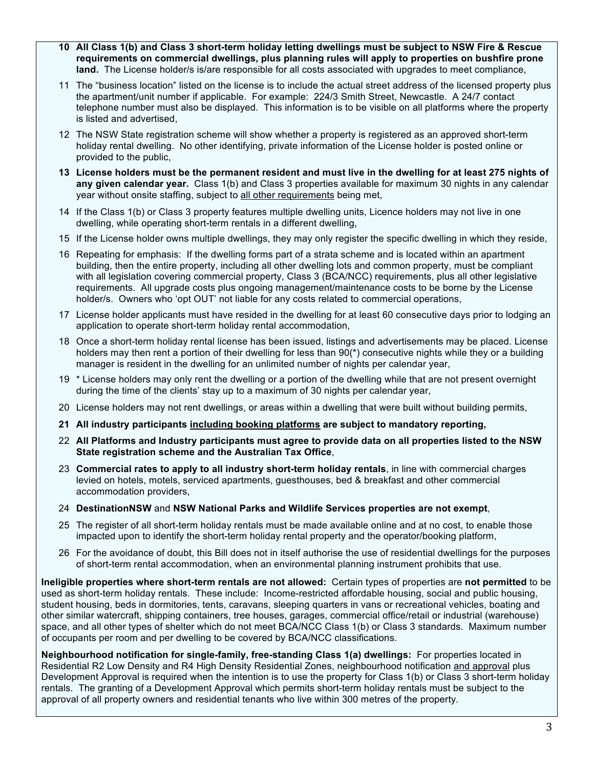- **10 All Class 1(b) and Class 3 short-term holiday letting dwellings must be subject to NSW Fire & Rescue requirements on commercial dwellings, plus planning rules will apply to properties on bushfire prone land.** The License holder/s is/are responsible for all costs associated with upgrades to meet compliance,
- 11 The "business location" listed on the license is to include the actual street address of the licensed property plus the apartment/unit number if applicable. For example: 224/3 Smith Street, Newcastle. A 24/7 contact telephone number must also be displayed. This information is to be visible on all platforms where the property is listed and advertised,
- 12 The NSW State registration scheme will show whether a property is registered as an approved short-term holiday rental dwelling. No other identifying, private information of the License holder is posted online or provided to the public,
- **13 License holders must be the permanent resident and must live in the dwelling for at least 275 nights of any given calendar year.** Class 1(b) and Class 3 properties available for maximum 30 nights in any calendar year without onsite staffing, subject to all other requirements being met,
- 14 If the Class 1(b) or Class 3 property features multiple dwelling units, Licence holders may not live in one dwelling, while operating short-term rentals in a different dwelling,
- 15 If the License holder owns multiple dwellings, they may only register the specific dwelling in which they reside,
- 16 Repeating for emphasis: If the dwelling forms part of a strata scheme and is located within an apartment building, then the entire property, including all other dwelling lots and common property, must be compliant with all legislation covering commercial property, Class 3 (BCA/NCC) requirements, plus all other legislative requirements. All upgrade costs plus ongoing management/maintenance costs to be borne by the License holder/s. Owners who 'opt OUT' not liable for any costs related to commercial operations,
- 17 License holder applicants must have resided in the dwelling for at least 60 consecutive days prior to lodging an application to operate short-term holiday rental accommodation,
- 18 Once a short-term holiday rental license has been issued, listings and advertisements may be placed. License holders may then rent a portion of their dwelling for less than 90(\*) consecutive nights while they or a building manager is resident in the dwelling for an unlimited number of nights per calendar year,
- 19 \* License holders may only rent the dwelling or a portion of the dwelling while that are not present overnight during the time of the clients' stay up to a maximum of 30 nights per calendar year,
- 20 License holders may not rent dwellings, or areas within a dwelling that were built without building permits,
- **21 All industry participants including booking platforms are subject to mandatory reporting,**
- 22 **All Platforms and Industry participants must agree to provide data on all properties listed to the NSW State registration scheme and the Australian Tax Office**,
- 23 **Commercial rates to apply to all industry short-term holiday rentals**, in line with commercial charges levied on hotels, motels, serviced apartments, guesthouses, bed & breakfast and other commercial accommodation providers,
- 24 **DestinationNSW** and **NSW National Parks and Wildlife Services properties are not exempt**,
- 25 The register of all short-term holiday rentals must be made available online and at no cost, to enable those impacted upon to identify the short-term holiday rental property and the operator/booking platform,
- 26 For the avoidance of doubt, this Bill does not in itself authorise the use of residential dwellings for the purposes of short-term rental accommodation, when an environmental planning instrument prohibits that use.

**Ineligible properties where short-term rentals are not allowed:** Certain types of properties are **not permitted** to be used as short-term holiday rentals. These include: Income-restricted affordable housing, social and public housing, student housing, beds in dormitories, tents, caravans, sleeping quarters in vans or recreational vehicles, boating and other similar watercraft, shipping containers, tree houses, garages, commercial office/retail or industrial (warehouse) space, and all other types of shelter which do not meet BCA/NCC Class 1(b) or Class 3 standards. Maximum number of occupants per room and per dwelling to be covered by BCA/NCC classifications.

**Neighbourhood notification for single-family, free-standing Class 1(a) dwellings:** For properties located in Residential R2 Low Density and R4 High Density Residential Zones, neighbourhood notification and approval plus Development Approval is required when the intention is to use the property for Class 1(b) or Class 3 short-term holiday rentals. The granting of a Development Approval which permits short-term holiday rentals must be subject to the approval of all property owners and residential tenants who live within 300 metres of the property.